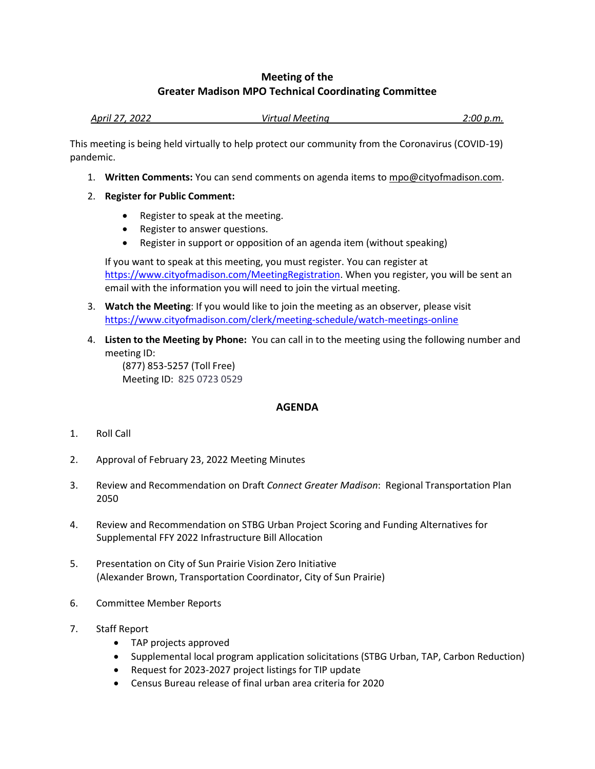## **Meeting of the Greater Madison MPO Technical Coordinating Committee**

| April 27, 2022 | Virtual Meetina | 2:00 p.m. |
|----------------|-----------------|-----------|
|                |                 |           |

This meeting is being held virtually to help protect our community from the Coronavirus (COVID-19) pandemic.

- 1. **Written Comments:** You can send comments on agenda items to mpo@cityofmadison.com.
- 2. **Register for Public Comment:**
	- Register to speak at the meeting.
	- Register to answer questions.
	- Register in support or opposition of an agenda item (without speaking)

If you want to speak at this meeting, you must register. You can register at [https://www.cityofmadison.com/MeetingRegistration.](https://www.cityofmadison.com/MeetingRegistration) When you register, you will be sent an email with the information you will need to join the virtual meeting.

- 3. **Watch the Meeting**: If you would like to join the meeting as an observer, please visit <https://www.cityofmadison.com/clerk/meeting-schedule/watch-meetings-online>
- 4. **Listen to the Meeting by Phone:** You can call in to the meeting using the following number and meeting ID:

(877) 853-5257 (Toll Free) Meeting ID: 825 0723 0529

## **AGENDA**

- 1. Roll Call
- 2. Approval of February 23, 2022 Meeting Minutes
- 3. Review and Recommendation on Draft *Connect Greater Madison*: Regional Transportation Plan 2050
- 4. Review and Recommendation on STBG Urban Project Scoring and Funding Alternatives for Supplemental FFY 2022 Infrastructure Bill Allocation
- 5. Presentation on City of Sun Prairie Vision Zero Initiative (Alexander Brown, Transportation Coordinator, City of Sun Prairie)
- 6. Committee Member Reports
- 7. Staff Report
	- TAP projects approved
	- Supplemental local program application solicitations (STBG Urban, TAP, Carbon Reduction)
	- Request for 2023-2027 project listings for TIP update
	- Census Bureau release of final urban area criteria for 2020